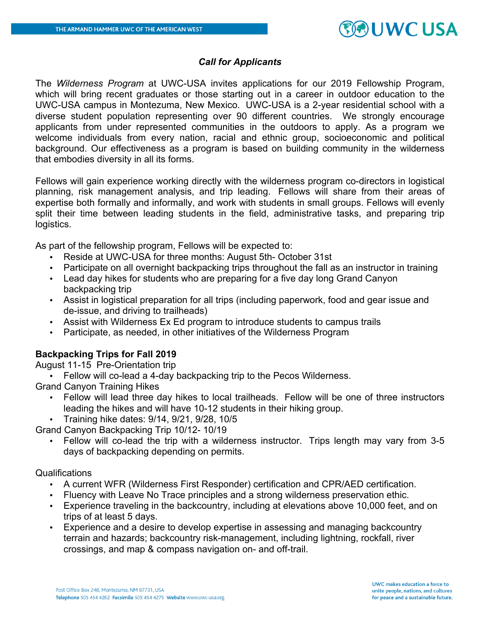## **OUWCUSA**

## *Call for Applicants*

The *Wilderness Program* at UWC-USA invites applications for our 2019 Fellowship Program, which will bring recent graduates or those starting out in a career in outdoor education to the UWC-USA campus in Montezuma, New Mexico. UWC-USA is a 2-year residential school with a diverse student population representing over 90 different countries. We strongly encourage applicants from under represented communities in the outdoors to apply. As a program we welcome individuals from every nation, racial and ethnic group, socioeconomic and political background. Our effectiveness as a program is based on building community in the wilderness that embodies diversity in all its forms.

Fellows will gain experience working directly with the wilderness program co-directors in logistical planning, risk management analysis, and trip leading. Fellows will share from their areas of expertise both formally and informally, and work with students in small groups. Fellows will evenly split their time between leading students in the field, administrative tasks, and preparing trip logistics.

As part of the fellowship program, Fellows will be expected to:

- Reside at UWC-USA for three months: August 5th- October 31st
- Participate on all overnight backpacking trips throughout the fall as an instructor in training
- Lead day hikes for students who are preparing for a five day long Grand Canyon backpacking trip
- Assist in logistical preparation for all trips (including paperwork, food and gear issue and de-issue, and driving to trailheads)
- Assist with Wilderness Ex Ed program to introduce students to campus trails
- Participate, as needed, in other initiatives of the Wilderness Program

## **Backpacking Trips for Fall 2019**

August 11-15 Pre-Orientation trip

• Fellow will co-lead a 4-day backpacking trip to the Pecos Wilderness.

Grand Canyon Training Hikes

- Fellow will lead three day hikes to local trailheads. Fellow will be one of three instructors leading the hikes and will have 10-12 students in their hiking group.
- Training hike dates: 9/14, 9/21, 9/28, 10/5

Grand Canyon Backpacking Trip 10/12- 10/19

• Fellow will co-lead the trip with a wilderness instructor. Trips length may vary from 3-5 days of backpacking depending on permits.

## Qualifications

- A current WFR (Wilderness First Responder) certification and CPR/AED certification.
- Fluency with Leave No Trace principles and a strong wilderness preservation ethic.
- Experience traveling in the backcountry, including at elevations above 10,000 feet, and on trips of at least 5 days.
- Experience and a desire to develop expertise in assessing and managing backcountry terrain and hazards; backcountry risk-management, including lightning, rockfall, river crossings, and map & compass navigation on- and off-trail.